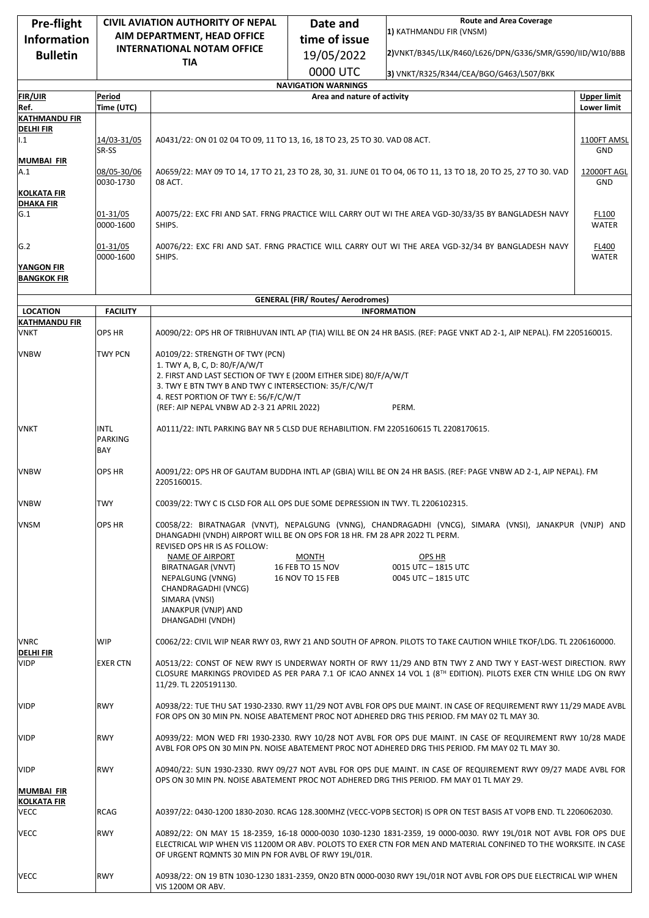| Pre-flight                             | <b>CIVIL AVIATION AUTHORITY OF NEPAL</b> |                                                                                                                                                                                                                                                                                              | <b>Route and Area Coverage</b><br>Date and                |                                                                                                                                                                |                    |  |  |  |
|----------------------------------------|------------------------------------------|----------------------------------------------------------------------------------------------------------------------------------------------------------------------------------------------------------------------------------------------------------------------------------------------|-----------------------------------------------------------|----------------------------------------------------------------------------------------------------------------------------------------------------------------|--------------------|--|--|--|
| <b>Information</b>                     |                                          | AIM DEPARTMENT, HEAD OFFICE                                                                                                                                                                                                                                                                  | 1) KATHMANDU FIR (VNSM)<br>time of issue                  |                                                                                                                                                                |                    |  |  |  |
| <b>Bulletin</b>                        | <b>INTERNATIONAL NOTAM OFFICE</b>        |                                                                                                                                                                                                                                                                                              | 19/05/2022                                                | 2) VNKT/B345/LLK/R460/L626/DPN/G336/SMR/G590/IID/W10/BBB                                                                                                       |                    |  |  |  |
|                                        |                                          | <b>TIA</b>                                                                                                                                                                                                                                                                                   |                                                           |                                                                                                                                                                |                    |  |  |  |
|                                        |                                          |                                                                                                                                                                                                                                                                                              | 0000 UTC                                                  | 3) VNKT/R325/R344/CEA/BGO/G463/L507/BKK                                                                                                                        |                    |  |  |  |
| <b>FIR/UIR</b>                         | Period                                   |                                                                                                                                                                                                                                                                                              | <b>NAVIGATION WARNINGS</b><br>Area and nature of activity |                                                                                                                                                                | <b>Upper limit</b> |  |  |  |
| Ref.                                   | Time (UTC)                               |                                                                                                                                                                                                                                                                                              |                                                           |                                                                                                                                                                | <b>Lower limit</b> |  |  |  |
| <b>KATHMANDU FIR</b>                   |                                          |                                                                                                                                                                                                                                                                                              |                                                           |                                                                                                                                                                |                    |  |  |  |
| <b>DELHIFIR</b><br>1.1                 | 14/03-31/05<br>SR-SS                     | A0431/22: ON 01 02 04 TO 09, 11 TO 13, 16, 18 TO 23, 25 TO 30. VAD 08 ACT.<br>1100FT AMSL                                                                                                                                                                                                    |                                                           |                                                                                                                                                                |                    |  |  |  |
| <b>MUMBAI FIR</b><br>A.1               | 08/05-30/06<br>0030-1730                 | A0659/22: MAY 09 TO 14, 17 TO 21, 23 TO 28, 30, 31. JUNE 01 TO 04, 06 TO 11, 13 TO 18, 20 TO 25, 27 TO 30. VAD<br>08 ACT.                                                                                                                                                                    |                                                           |                                                                                                                                                                |                    |  |  |  |
| <b>KOLKATA FIR</b><br><b>DHAKA FIR</b> |                                          |                                                                                                                                                                                                                                                                                              |                                                           |                                                                                                                                                                |                    |  |  |  |
| G.1                                    | 01-31/05<br>0000-1600                    | A0075/22: EXC FRI AND SAT. FRNG PRACTICE WILL CARRY OUT WI THE AREA VGD-30/33/35 BY BANGLADESH NAVY<br>SHIPS.                                                                                                                                                                                |                                                           |                                                                                                                                                                |                    |  |  |  |
| G.2                                    | 01-31/05<br>0000-1600                    | A0076/22: EXC FRI AND SAT. FRNG PRACTICE WILL CARRY OUT WI THE AREA VGD-32/34 BY BANGLADESH NAVY<br>SHIPS.<br><b>WATER</b>                                                                                                                                                                   |                                                           |                                                                                                                                                                |                    |  |  |  |
| YANGON FIR<br><b>BANGKOK FIR</b>       |                                          |                                                                                                                                                                                                                                                                                              |                                                           |                                                                                                                                                                |                    |  |  |  |
|                                        |                                          |                                                                                                                                                                                                                                                                                              | <b>GENERAL (FIR/ Routes/ Aerodromes)</b>                  |                                                                                                                                                                |                    |  |  |  |
| <b>LOCATION</b>                        | <b>FACILITY</b>                          |                                                                                                                                                                                                                                                                                              |                                                           | <b>INFORMATION</b>                                                                                                                                             |                    |  |  |  |
| <b>KATHMANDU FIR</b><br><b>VNKT</b>    | <b>OPS HR</b>                            | A0090/22: OPS HR OF TRIBHUVAN INTL AP (TIA) WILL BE ON 24 HR BASIS. (REF: PAGE VNKT AD 2-1, AIP NEPAL). FM 2205160015.                                                                                                                                                                       |                                                           |                                                                                                                                                                |                    |  |  |  |
| <b>VNBW</b>                            | TWY PCN                                  | A0109/22: STRENGTH OF TWY (PCN)<br>1. TWY A, B, C, D: 80/F/A/W/T<br>2. FIRST AND LAST SECTION OF TWY E (200M EITHER SIDE) 80/F/A/W/T<br>3. TWY E BTN TWY B AND TWY C INTERSECTION: 35/F/C/W/T<br>4. REST PORTION OF TWY E: 56/F/C/W/T<br>(REF: AIP NEPAL VNBW AD 2-3 21 APRIL 2022)<br>PERM. |                                                           |                                                                                                                                                                |                    |  |  |  |
| VNKT                                   | <b>INTL</b><br><b>PARKING</b><br>BAY     | A0111/22: INTL PARKING BAY NR 5 CLSD DUE REHABILITION. FM 2205160615 TL 2208170615.                                                                                                                                                                                                          |                                                           |                                                                                                                                                                |                    |  |  |  |
| <b>VNBW</b>                            | <b>OPS HR</b>                            | A0091/22: OPS HR OF GAUTAM BUDDHA INTL AP (GBIA) WILL BE ON 24 HR BASIS. (REF: PAGE VNBW AD 2-1, AIP NEPAL). FM<br>2205160015.                                                                                                                                                               |                                                           |                                                                                                                                                                |                    |  |  |  |
| VNBW                                   | <b>TWY</b>                               | C0039/22: TWY C IS CLSD FOR ALL OPS DUE SOME DEPRESSION IN TWY. TL 2206102315.                                                                                                                                                                                                               |                                                           |                                                                                                                                                                |                    |  |  |  |
| <b>VNSM</b>                            | OPS HR                                   | DHANGADHI (VNDH) AIRPORT WILL BE ON OPS FOR 18 HR. FM 28 APR 2022 TL PERM.<br>REVISED OPS HR IS AS FOLLOW:<br>NAME OF AIRPORT<br>BIRATNAGAR (VNVT)<br>NEPALGUNG (VNNG)<br>CHANDRAGADHI (VNCG)<br>SIMARA (VNSI)<br>JANAKPUR (VNJP) AND<br>DHANGADHI (VNDH)                                    | <b>MONTH</b><br>16 FEB TO 15 NOV<br>16 NOV TO 15 FEB      | C0058/22: BIRATNAGAR (VNVT), NEPALGUNG (VNNG), CHANDRAGADHI (VNCG), SIMARA (VNSI), JANAKPUR (VNJP) AND<br>OPS HR<br>0015 UTC - 1815 UTC<br>0045 UTC - 1815 UTC |                    |  |  |  |
| VNRC                                   | <b>WIP</b>                               |                                                                                                                                                                                                                                                                                              |                                                           | C0062/22: CIVIL WIP NEAR RWY 03, RWY 21 AND SOUTH OF APRON. PILOTS TO TAKE CAUTION WHILE TKOF/LDG. TL 2206160000.                                              |                    |  |  |  |
| <b>DELHI FIR</b><br><b>VIDP</b>        | <b>EXER CTN</b>                          | A0513/22: CONST OF NEW RWY IS UNDERWAY NORTH OF RWY 11/29 AND BTN TWY Z AND TWY Y EAST-WEST DIRECTION. RWY<br>CLOSURE MARKINGS PROVIDED AS PER PARA 7.1 OF ICAO ANNEX 14 VOL 1 (8TH EDITION). PILOTS EXER CTN WHILE LDG ON RWY<br>11/29. TL 2205191130.                                      |                                                           |                                                                                                                                                                |                    |  |  |  |
| <b>VIDP</b>                            | <b>RWY</b>                               | A0938/22: TUE THU SAT 1930-2330. RWY 11/29 NOT AVBL FOR OPS DUE MAINT. IN CASE OF REQUIREMENT RWY 11/29 MADE AVBL<br>FOR OPS ON 30 MIN PN. NOISE ABATEMENT PROC NOT ADHERED DRG THIS PERIOD. FM MAY 02 TL MAY 30.                                                                            |                                                           |                                                                                                                                                                |                    |  |  |  |
| <b>VIDP</b>                            | <b>RWY</b>                               | A0939/22: MON WED FRI 1930-2330. RWY 10/28 NOT AVBL FOR OPS DUE MAINT. IN CASE OF REQUIREMENT RWY 10/28 MADE<br>AVBL FOR OPS ON 30 MIN PN. NOISE ABATEMENT PROC NOT ADHERED DRG THIS PERIOD. FM MAY 02 TL MAY 30.                                                                            |                                                           |                                                                                                                                                                |                    |  |  |  |
| <b>VIDP</b><br><b>MUMBAI FIR</b>       | <b>RWY</b>                               | A0940/22: SUN 1930-2330. RWY 09/27 NOT AVBL FOR OPS DUE MAINT. IN CASE OF REQUIREMENT RWY 09/27 MADE AVBL FOR<br>OPS ON 30 MIN PN. NOISE ABATEMENT PROC NOT ADHERED DRG THIS PERIOD. FM MAY 01 TL MAY 29.                                                                                    |                                                           |                                                                                                                                                                |                    |  |  |  |
| <b>KOLKATA FIR</b><br><b>VECC</b>      | <b>RCAG</b>                              | A0397/22: 0430-1200 1830-2030. RCAG 128.300MHZ (VECC-VOPB SECTOR) IS OPR ON TEST BASIS AT VOPB END. TL 2206062030.                                                                                                                                                                           |                                                           |                                                                                                                                                                |                    |  |  |  |
| <b>VECC</b>                            | <b>RWY</b>                               | A0892/22: ON MAY 15 18-2359, 16-18 0000-0030 1030-1230 1831-2359, 19 0000-0030. RWY 19L/01R NOT AVBL FOR OPS DUE<br>ELECTRICAL WIP WHEN VIS 11200M OR ABV. POLOTS TO EXER CTN FOR MEN AND MATERIAL CONFINED TO THE WORKSITE. IN CASE<br>OF URGENT ROMNTS 30 MIN PN FOR AVBL OF RWY 19L/01R.  |                                                           |                                                                                                                                                                |                    |  |  |  |
| VECC                                   | <b>RWY</b>                               | VIS 1200M OR ABV.                                                                                                                                                                                                                                                                            |                                                           | A0938/22: ON 19 BTN 1030-1230 1831-2359, ON20 BTN 0000-0030 RWY 19L/01R NOT AVBL FOR OPS DUE ELECTRICAL WIP WHEN                                               |                    |  |  |  |